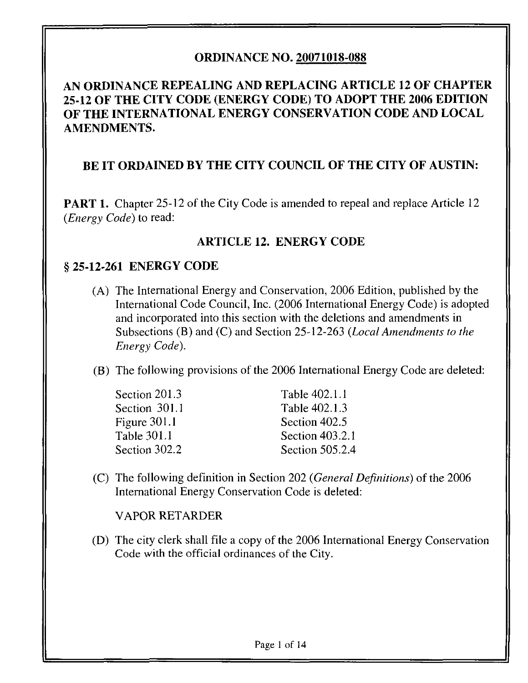## ORDINANCE NO. 20071018-088

## AN ORDINANCE REPEALING AND REPLACING ARTICLE 12 OF CHAPTER 25-12 OF THE CITY CODE (ENERGY CODE) TO ADOPT THE 2006 EDITION OF THE INTERNATIONAL ENERGY CONSERVATION CODE AND LOCAL AMENDMENTS.

#### BE IT ORDAINED BY THE CITY COUNCIL OF THE CITY OF AUSTIN:

**PART 1.** Chapter 25-12 of the City Code is amended to repeal and replace Article 12 (Energy Code) to read:

#### ARTICLE 12. ENERGY CODE

#### § 25-12-261 ENERGY CODE

- (A) The International Energy and Conservation, 2006 Edition, published by the International Code Council, Inc. (2006 International Energy Code) is adopted and incorporated into this section with the deletions and amendments in Subsections (B) and (C) and Section 25-12-263 (Local Amendments to the Energy Code).
- (B) The following provisions of the 2006 International Energy Code are deleted:

| Section 201.3 | Table 402.1.1   |
|---------------|-----------------|
| Section 301.1 | Table 402.1.3   |
| Figure 301.1  | Section 402.5   |
| Table 301.1   | Section 403.2.1 |
| Section 302.2 | Section 505.2.4 |

(C) The following definition in Section 202 (General Definitions) of the 2006 International Energy Conservation Code is deleted:

#### VAPOR RETARDER

(D) The city clerk shall file a copy of the 2006 International Energy Conservation Code with the official ordinances of the City.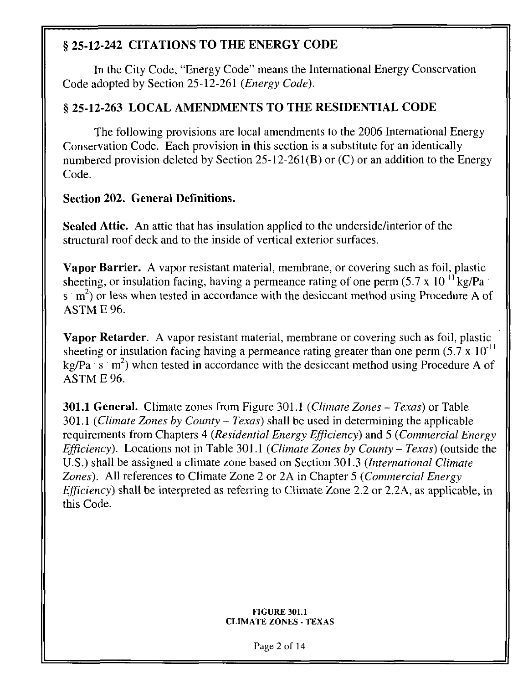# § 25-12-242 CITATIONS TO THE ENERGY CODE

In the City Code, "Energy Code" means the International Energy Conservation Code adopted by Section 25-12-261 (Energy Code).

## § 25-12-263 LOCAL AMENDMENTS TO THE RESIDENTIAL CODE

The following provisions are local amendments to the 2006 International Energy Conservation Code. Each provision in this section is a substitute for an identically numbered provision deleted by Section 25-12-261(B) or (C) or an addition to the Energy Code.

## Section 202. General Definitions.

Sealed Attic. An attic that has insulation applied to the underside/interior of the structural roof deck and to the inside of vertical exterior surfaces.

Vapor Barrier. A vapor resistant material, membrane, or covering such as foil, plastic sheeting, or insulation facing, having a permeance rating of one perm  $(5.7 \times 10^{-11} \text{kg/Pa})$ s  $m^2$ ) or less when tested in accordance with the desiccant method using Procedure A of ASTM E 96.

Vapor Retarder. A vapor resistant material, membrane or covering such as foil, plastic sheeting or insulation facing having a permeance rating greater than one perm  $(5.7 \times 10^{-11})$ kg/Pa  $\sim$  s  $\sim$  m<sup>2</sup>) when tested in accordance with the desiccant method using Procedure A of ASTM E 96.

301.1 General. Climate zones from Figure 301.1 (Climate Zones – Texas) or Table 301.1 (Climate Zones by County – Texas) shall be used in determining the applicable requirements from Chapters 4 (Residential Energy Efficiency) and 5 (Commercial Energy *Efficiency*). Locations not in Table 301.1 (*Climate Zones by County – Texas*) (outside the U.S.) shall be assigned a climate zone based on Section 301.3 (International Climate Zones). All references to Climate Zone 2 or 2A in Chapter 5 (Commercial Energy Efficiency) shall be interpreted as referring to Climate Zone 2.2 or 2.2A, as applicable, in this Code.

#### FIGURE 301.1 CLIMATE ZONES - TEXAS

Page 2 of 14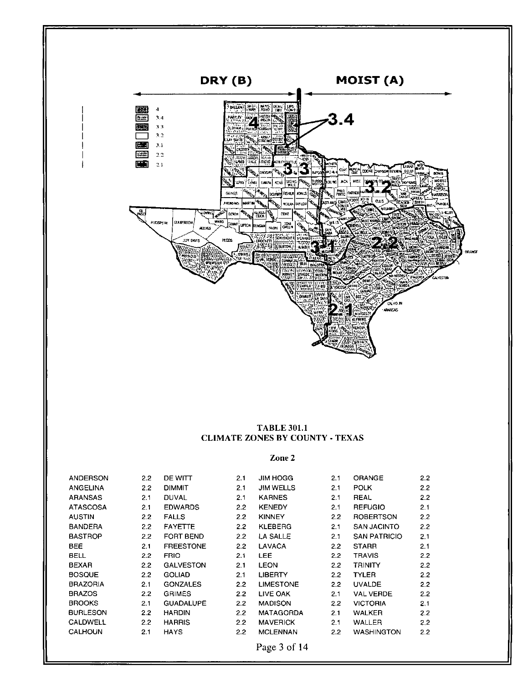

#### TABLE 301.1 CLIMATE ZONES BY COUNTY - TEXAS

#### Zone 2

| <b>ANDERSON</b> | 2.2 | DE WITT          | 2.1 | JIM HOGG         | 2.1 | ORANGE              | 2.2 |
|-----------------|-----|------------------|-----|------------------|-----|---------------------|-----|
| ANGELINA        | 2.2 | <b>DIMMIT</b>    | 2.1 | <b>JIM WELLS</b> | 2.1 | <b>POLK</b>         | 2.2 |
| <b>ARANSAS</b>  | 2.1 | <b>DUVAL</b>     | 2.1 | <b>KARNES</b>    | 2.1 | <b>REAL</b>         | 2.2 |
| <b>ATASCOSA</b> | 2.1 | <b>EDWARDS</b>   | 2.2 | <b>KENEDY</b>    | 2.1 | <b>REFUGIO</b>      | 2.1 |
| <b>AUSTIN</b>   | 2.2 | <b>FALLS</b>     | 2.2 | <b>KINNEY</b>    | 2.2 | <b>ROBERTSON</b>    | 2.2 |
| <b>BANDERA</b>  | 2.2 | <b>FAYETTE</b>   | 2.2 | <b>KLEBERG</b>   | 2.1 | <b>SAN JACINTO</b>  | 2.2 |
| <b>BASTROP</b>  | 2.2 | <b>FORT BEND</b> | 2.2 | LA SALLE         | 2.1 | <b>SAN PATRICIO</b> | 2.1 |
| <b>BEE</b>      | 2.1 | <b>FREESTONE</b> | 2.2 | LAVACA           | 2.2 | <b>STARR</b>        | 2.1 |
| <b>BELL</b>     | 2.2 | <b>FRIO</b>      | 2.1 | <b>LEE</b>       | 2.2 | <b>TRAVIS</b>       | 2.2 |
| <b>BEXAR</b>    | 2.2 | <b>GALVESTON</b> | 2.1 | <b>LEON</b>      | 2.2 | <b>TRINITY</b>      | 2.2 |
| <b>BOSOUE</b>   | 2.2 | <b>GOLIAD</b>    | 2.1 | <b>LIBERTY</b>   | 2.2 | <b>TYLER</b>        | 2.2 |
| <b>BRAZORIA</b> | 2.1 | <b>GONZALES</b>  | 2.2 | <b>LIMESTONE</b> | 2.2 | <b>UVALDE</b>       | 2.2 |
| <b>BRAZOS</b>   | 2.2 | <b>GRIMES</b>    | 2.2 | LIVE OAK         | 2.1 | <b>VAL VERDE</b>    | 2.2 |
| <b>BROOKS</b>   | 2.1 | <b>GUADALUPE</b> | 2.2 | <b>MADISON</b>   | 2.2 | <b>VICTORIA</b>     | 2.1 |
| <b>BURLESON</b> | 2.2 | <b>HARDIN</b>    | 2.2 | <b>MATAGORDA</b> | 2.1 | WALKER              | 2.2 |
| <b>CALDWELL</b> | 2.2 | <b>HARRIS</b>    | 2.2 | <b>MAVERICK</b>  | 2.1 | WALLER              | 2.2 |
| <b>CALHOUN</b>  | 2.1 | <b>HAYS</b>      | 2.2 | <b>MCLENNAN</b>  | 2.2 | <b>WASHINGTON</b>   | 2.2 |
|                 |     |                  |     |                  |     |                     |     |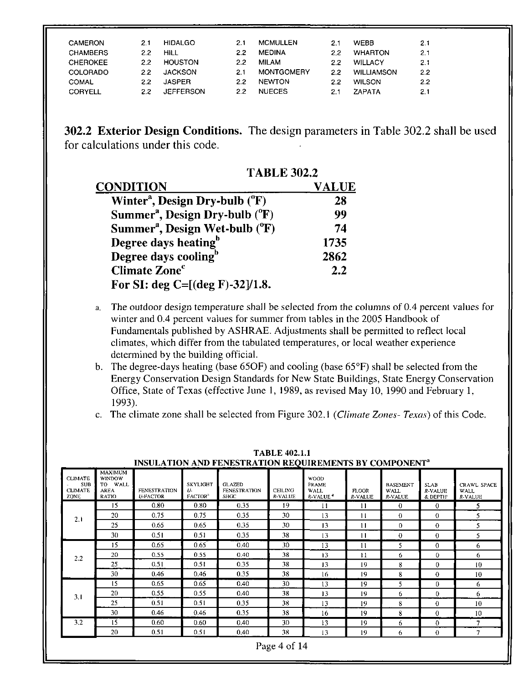| <b>CAMERON</b>  | 21  | <b>HIDALGO</b>   | 21  | <b>MCMULLEN</b>   | 2.1 | WEBB              | 2.1 |
|-----------------|-----|------------------|-----|-------------------|-----|-------------------|-----|
| <b>CHAMBERS</b> | 2.2 | Hil L            | 22  | <b>MEDINA</b>     | 2.2 | <b>WHARTON</b>    | 2.1 |
| <b>CHEROKEE</b> | 22  | <b>HOUSTON</b>   | 2.2 | <b>MILAM</b>      | 2.2 | <b>WILLACY</b>    | 2.1 |
| <b>COLORADO</b> | 22  | <b>JACKSON</b>   |     | <b>MONTGOMERY</b> | クク  | <b>WILLIAMSON</b> | 2.2 |
| <b>COMAL</b>    | 22  | <b>JASPER</b>    | 2.2 | <b>NEWTON</b>     | 22  | <b>WILSON</b>     | 2.2 |
| <b>CORYELL</b>  | つつ  | <b>JEFFERSON</b> | 22  | <b>NUECES</b>     | 21  | <b>ZAPATA</b>     | 2.1 |

302.2 Exterior Design Conditions. The design parameters in Table 302.2 shall be used for calculations under this code.

| <b>TABLE 302.2</b>                         |              |
|--------------------------------------------|--------------|
| <b>CONDITION</b>                           | <b>VALUE</b> |
| Winter <sup>a</sup> , Design Dry-bulb ('F) | 28           |
| Summer <sup>a</sup> , Design Dry-bulb (°F) | 99           |
| Summer <sup>a</sup> , Design Wet-bulb (°F) | 74           |
| Degree days heating <sup>b</sup>           | 1735         |
| Degree days cooling <sup>b</sup>           | 2862         |
| <b>Climate Zone</b> <sup>c</sup>           | 2.2          |
| For SI: deg C= $[(deg F)-32]/1.8$ .        |              |

- a. The outdoor design temperature shall be selected from the columns of 0.4 percent values for winter and 0.4 percent values for summer from tables in the 2005 Handbook of Fundamentals published by ASHRAE. Adjustments shall be permitted to reflect local climates, which differ from the tabulated temperatures, or local weather experience determined by the building official.
- b. The degree-days heating (base 65OF) and cooling (base 65°F) shall be selected from the Energy Conservation Design Standards for New State Buildings, State Energy Conservation Office, State of Texas (effective June 1, 1989, as revised May 10 1990 and February 1, 1993).
- c. The climate zone shall be selected from Figure 302.1 (Climate Zones- Texas) of this Code.

| <b>CLIMATE</b><br><b>SUB</b><br><b>CLIMATE</b><br>ZONE. | <b>MAXIMUM</b><br><b>WINDOW</b><br>TO WALL<br><b>AREA</b><br>RATIO | <b>FENESTRATION</b><br><b>U-FACTOR</b> | <b>SKYLIGHT</b><br>11.<br>FACTOR <sup>b</sup> | <b>GLAZED</b><br><b>FENESTRATION</b><br><b>SHGC</b> | CEILING<br><b>R-VALUE</b> | <b>WOOD</b><br><b>FRAME</b><br>WALL.<br>R-VALUE <sup>d</sup> | FLOOR<br><b>R-VALUE</b> | <b>BASEMENT</b><br><b>WALL</b><br>R VALUE | <b>SLAB</b><br>R-VALUE<br>& DEPTH' | CRAWL SPACE<br>WALL.<br>R-VALUE |
|---------------------------------------------------------|--------------------------------------------------------------------|----------------------------------------|-----------------------------------------------|-----------------------------------------------------|---------------------------|--------------------------------------------------------------|-------------------------|-------------------------------------------|------------------------------------|---------------------------------|
|                                                         | 15                                                                 | 0.80                                   | 0.80                                          | 0.35                                                | 19                        | -11                                                          | 11                      | $\bf{0}$                                  | 0                                  | 5                               |
| 2.1                                                     | 20                                                                 | 0.75                                   | 0.75                                          | 0.35                                                | 30                        | 13                                                           | 11                      | $\bf{0}$                                  | $\overline{0}$                     | 5                               |
|                                                         | 25                                                                 | 0.65                                   | 0.65                                          | 0.35                                                | 30                        | 13                                                           | $\mathbf{11}$           | $\bf{0}$                                  | $\mathbf{0}$                       | 5                               |
|                                                         | 30                                                                 | 0.51                                   | 0.51                                          | 0.35                                                | 38                        | 13                                                           | 11                      | $\bf{0}$                                  | $\theta$                           | 5.                              |
|                                                         | 15                                                                 | 0.65                                   | 0.65                                          | 0.40                                                | 30                        | 13                                                           | 11                      | 5                                         | $\overline{0}$                     | 6                               |
| 2.2                                                     | 20                                                                 | 0.55                                   | 0.55                                          | 0.40                                                | 38                        | 13                                                           | $\mathbf{11}$           | 6                                         | $\Omega$                           | 6                               |
|                                                         | 25                                                                 | 0.51                                   | 0.51                                          | 0.35                                                | 38                        | 13                                                           | 19                      | 8                                         | $\mathbf{0}$                       | $\overline{10}$                 |
|                                                         | 30                                                                 | 0.46                                   | 0.46                                          | 0.35                                                | 38                        | 16                                                           | 19                      | 8                                         | $\theta$                           | 10                              |
|                                                         | 15                                                                 | 0.65                                   | 0.65                                          | 0.40                                                | 30                        | 13                                                           | 19                      | 5                                         | $\mathbf{0}$                       | 6                               |
| 3.1                                                     | 20                                                                 | 0.55                                   | 0.55                                          | 0.40                                                | 38                        | 13                                                           | 19                      | 6                                         | $\overline{0}$                     | 6                               |
|                                                         | 25                                                                 | 0.51                                   | 0.51                                          | 0.35                                                | 38                        | 13                                                           | 19                      | 8                                         | $\bf{0}$                           | 10                              |
|                                                         | 30                                                                 | 0.46                                   | 0.46                                          | 0.35                                                | 38                        | 16                                                           | 19                      | 8                                         | $\theta$                           | 10                              |
| 3.2                                                     | 15                                                                 | 0.60                                   | 0.60                                          | 0.40                                                | 30                        | 13                                                           | 19                      | 6                                         | $\mathbf 0$                        | 7                               |
|                                                         | 20                                                                 | 0.51                                   | 0.51                                          | 0.40                                                | 38                        | 13                                                           | 19                      | 6                                         | $\bf{0}$                           | 7                               |

TABLE 402.1.1 INSULATION AND FENESTRATION REQUIREMENTS BY COMPONENT<sup>3</sup>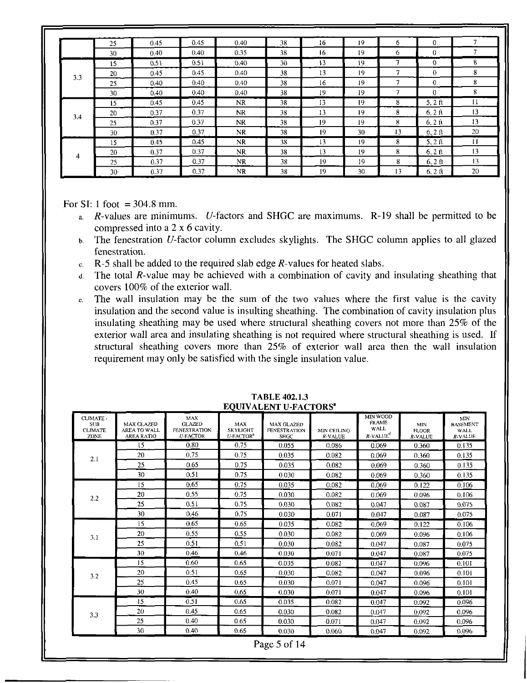|     | 25 | 0.45 | 0.45 | 0.40      | 38 | 16 | 19 | 6            | 0                |    |
|-----|----|------|------|-----------|----|----|----|--------------|------------------|----|
|     | 30 | 0.40 | 0.40 | 0.35      | 38 | 16 | 19 | 6.           | 0                | 7  |
|     | 15 | 0.51 | 0.51 | 0.40      | 30 | 13 | 19 | ⇁            | $\theta$         | 8  |
| 3.3 | 20 | 0.45 | 0.45 | 0.40      | 38 | 13 | 19 | $\mathbf{r}$ | $\Omega$         | 8  |
|     | 25 | 0.40 | 0.40 | 0.40      | 38 | 16 | 19 | ¬            | $\bf{0}$         | 8  |
|     | 30 | 0.40 | 0.40 | 0.40      | 38 | 19 | 19 |              | 0                | 8  |
|     | 15 | 0.45 | 0.45 | NR.       | 38 | 13 | 19 | 8            | $5, 2$ ft        | 11 |
| 3.4 | 20 | 0.37 | 0.37 | <b>NR</b> | 38 | 13 | 19 | 8            | $6, 2$ ft        | 13 |
|     | 25 | 0.37 | 0.37 | NR.       | 38 | 19 | 19 | 8            | $6.2 \text{ ft}$ | 13 |
|     | 30 | 0.37 | 0.37 | NR.       | 38 | 19 | 30 | 13           | $6.2$ ft         | 20 |
|     | 15 | 0.45 | 0.45 | NR        | 38 | 13 | 19 | 8            | $5.2$ ft         | Ħ  |
| 4   | 20 | 0.37 | 0.37 | <b>NR</b> | 38 | 13 | 19 | 8            | $6, 2$ ft        | 13 |
|     | 25 | 0.37 | 0.37 | NR.       | 38 | 19 | 19 | 8            | $6, 2$ ft        | 13 |
|     | 30 | 0.37 | 0.37 | NR.       | 38 | 19 | 30 | 13           | $6.2$ ft         | 20 |

For SI: 1 foot  $=$  304.8 mm.

- a.  $R$ -values are minimums. *U*-factors and SHGC are maximums. R-19 shall be permitted to be compressed into a 2 x 6 cavity.
- $b$ . The fenestration U-factor column excludes skylights. The SHGC column applies to all glazed fenestration.
- c.  $R-5$  shall be added to the required slab edge  $R$ -values for heated slabs.
- $d$ . The total R-value may be achieved with a combination of cavity and insulating sheathing that covers 100% of the exterior wall.
- e. The wall insulation may be the sum of the two values where the first value is the cavity insulation and the second value is insulting sheathing. The combination of cavity insulation plus insulating sheathing may be used where structural sheathing covers not more than 25% of the exterior wall area and insulating sheathing is not required where structural sheathing is used. If structural sheathing covers more than 25% of exterior wall area then the wall insulation requirement may only be satisfied with the single insulation value.

| <b>CLIMATE-</b><br><b>SUB</b><br><b>CLIMATE</b><br>ZONE | <b>MAX GLAZED</b><br>AREA TO WALL<br><b>AREA RATIO</b> | <b>MAX</b><br><b>GLAZED</b><br><b>FENESTRATION</b><br><b>U-FACTOR</b> | <b>MAX</b><br><b>SKYLIGHT</b><br>$U$ -FACTOR <sup>b</sup> | <b>MAX GLAZED</b><br><b>FENESTRATION</b><br><b>SHGC</b> | MIN CEILING<br>R-VALUE | MIN WOOD<br><b>FRAME</b><br><b>WALL</b><br>$R$ -VALUE <sup>d</sup> | <b>MIN</b><br>FLOOR<br><b>R-VALUE</b> | MIN<br><b>BASEMENT</b><br><b>WALL</b><br>R-VALUE |
|---------------------------------------------------------|--------------------------------------------------------|-----------------------------------------------------------------------|-----------------------------------------------------------|---------------------------------------------------------|------------------------|--------------------------------------------------------------------|---------------------------------------|--------------------------------------------------|
|                                                         | 15                                                     | 0.80                                                                  | 0.75                                                      | 0.055                                                   | 0.086                  | 0.069                                                              | 0.360                                 | 0.135                                            |
| 2.1                                                     | 20                                                     | 0.75                                                                  | 0.75                                                      | 0.035                                                   | 0.082                  | 0.069                                                              | 0.360                                 | 0.135                                            |
|                                                         | 25                                                     | 0.65                                                                  | 0.75                                                      | 0.035                                                   | 0.082                  | 0.069                                                              | 0.360                                 | 0.135                                            |
|                                                         | 30                                                     | 0.51                                                                  | 0.75                                                      | 0.030                                                   | 0.082                  | 0.069                                                              | 0.360                                 | 0.135                                            |
|                                                         | 15                                                     | 0.65                                                                  | 0.75                                                      | 0.035                                                   | 0.082                  | 0.069                                                              | 0.122                                 | 0.106                                            |
| 2.2                                                     | 20                                                     | 0.55                                                                  | 0.75                                                      | 0.030                                                   | 0.082                  | 0.069                                                              | 0.096                                 | 0.106                                            |
|                                                         | 25                                                     | 0.51                                                                  | 0.75                                                      | 0.030                                                   | 0.082                  | 0.047                                                              | 0.087                                 | 0.075                                            |
|                                                         | 30                                                     | 0.46                                                                  | 0.75                                                      | 0.030                                                   | 0.071                  | 0.047                                                              | 0.087                                 | 0.075                                            |
|                                                         | 15                                                     | 0.65                                                                  | 0.65                                                      | 0.035                                                   | 0.082                  | 0.069                                                              | 0.122                                 | 0.106                                            |
| 3.1                                                     | 20                                                     | 0.55                                                                  | 0.55                                                      | 0.030                                                   | 0.082                  | 0.069                                                              | 0.096                                 | 0.106                                            |
|                                                         | 25                                                     | 0.51                                                                  | 0.51                                                      | 0.030                                                   | 0.082                  | 0.047                                                              | 0.087                                 | 0.075                                            |
|                                                         | 30                                                     | 0.46                                                                  | 0.46                                                      | 0.030                                                   | 0.071                  | 0.047                                                              | 0.087                                 | 0.075                                            |
|                                                         | 15                                                     | 0.60                                                                  | 0.65                                                      | 0.035                                                   | 0.082                  | 0.047                                                              | 0.096                                 | 0.101                                            |
| 3.2                                                     | 20                                                     | 0.51                                                                  | 0.65                                                      | 0.030                                                   | 0.082                  | 0.047                                                              | 0.096                                 | 0.101                                            |
|                                                         | 25                                                     | 0.45                                                                  | 0.65                                                      | 0.030                                                   | 0.071                  | 0.047                                                              | 0.096                                 | 0.101                                            |
|                                                         | 30                                                     | 0.40                                                                  | 0.65                                                      | 0.030                                                   | 0.071                  | 0.047                                                              | 0.096                                 | 0.101                                            |
|                                                         | 15                                                     | 0.51                                                                  | 0.65                                                      | 0.035                                                   | 0.082                  | 0.047                                                              | 0.092                                 | 0.096                                            |
| 3.3                                                     | 20                                                     | 0.45                                                                  | 0.65                                                      | 0.030                                                   | 0.082                  | 0.047                                                              | 0.092                                 | 0.096                                            |
|                                                         | 25                                                     | 0.40                                                                  | 0.65                                                      | 0.030                                                   | 0.071                  | 0.047                                                              | 0.092                                 | 0.096                                            |
|                                                         | 30                                                     | 0.40                                                                  | 0.65                                                      | 0.030                                                   | 0.060                  | 0.047                                                              | 0.092                                 | 0.096                                            |

TABLE 402.1.3 EQUIVALENT U-FACTORS<sup>®</sup>

Page 5 of 14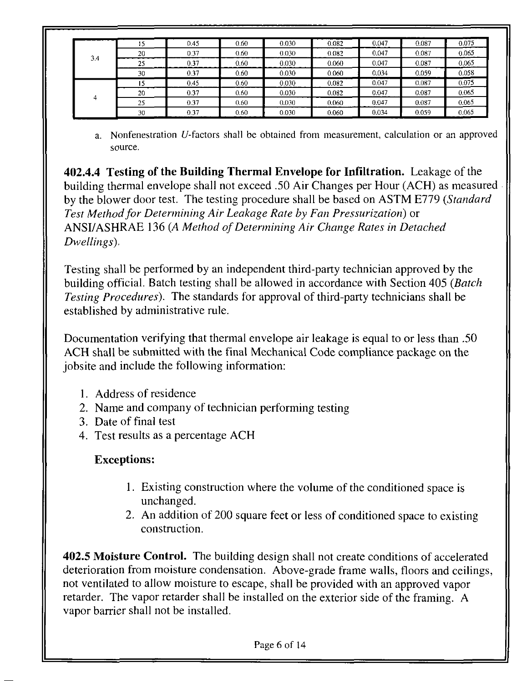|     |    | 0.45 | 0.60 | 0.030 | 0.082 | 0.047 | 0.087 | 0.075 |
|-----|----|------|------|-------|-------|-------|-------|-------|
| 3.4 | 20 | 0.37 | 0.60 | 0.030 | 0.082 | 0.047 | 0.087 | 0.065 |
|     | 25 | 0.37 | 0.60 | 0.030 | 0.060 | 0.047 | 0.087 | 0.065 |
|     | 30 | 0.37 | 0.60 | 0.030 | 0.060 | 0.034 | 0.059 | 0.058 |
|     |    | 0.45 | 0.60 | 0.030 | 0.082 | 0.047 | 0.087 | 0.075 |
|     | 20 | 0.37 | 0.60 | 0.030 | 0.082 | 0.047 | 0.087 | 0.065 |
| 4   | 25 | 0.37 | 0.60 | 0.030 | 0.060 | 0.047 | 0.087 | 0.065 |
|     | 30 | 0.37 | 0.60 | 0.030 | 0.060 | 0.034 | 0.059 | 0.065 |

a. Nonfenestration U-factors shall be obtained from measurement, calculation or an approved source.

402.4.4 Testing of the Building Thermal Envelope for Infiltration. Leakage of the building thermal envelope shall not exceed .50 Air Changes per Hour (ACH) as measured by the blower door test. The testing procedure shall be based on ASTM E779 (Standard Test Method for Determining Air Leakage Rate by Fan Pressurization) or ANSI/ASHRAE 136 (A Method of Determining Air Change Rates in Detached Dwellings).

Testing shall be performed by an independent third-party technician approved by the building official. Batch testing shall be allowed in accordance with Section 405 (Batch Testing Procedures). The standards for approval of third-party technicians shall be established by administrative rule.

Documentation verifying that thermal envelope air leakage is equal to or less than .50 ACH shall be submitted with the final Mechanical Code compliance package on the jobsite and include the following information:

- 1. Address of residence
- 2. Name and company of technician performing testing
- 3. Date of final test
- 4. Test results as a percentage ACH

## Exceptions:

- 1. Existing construction where the volume of the conditioned space is unchanged.
- 2. An addition of 200 square feet or less of conditioned space to existing construction.

402.5 Moisture Control. The building design shall not create conditions of accelerated deterioration from moisture condensation. Above-grade frame walls, floors and ceilings, not ventilated to allow moisture to escape, shall be provided with an approved vapor retarder. The vapor retarder shall be installed on the exterior side of the framing. A vapor barrier shall not be installed.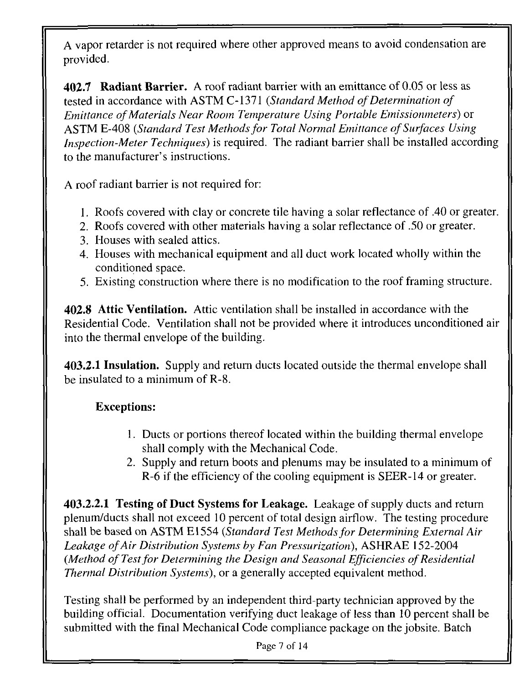A vapor retarder is not required where other approved means to avoid condensation are provided.

402.7 Radiant Barrier. A roof radiant barrier with an emittance of 0.05 or less as tested in accordance with ASTM C-1371 (Standard Method of Determination of Emittance of Materials Near Room Temperature Using Portable Emissionmeters) or ASTM E-408 (Standard Test Methods for Total Normal Emittance of Surfaces Using Inspection-Meter Techniques) is required. The radiant barrier shall be installed according to the manufacturer's instructions.

A roof radiant barrier is not required for:

- 1. Roofs covered with clay or concrete tile having a solar reflectance of .40 or greater.
- 2. Roofs covered with other materials having a solar reflectance of .50 or greater.
- 3. Houses with sealed attics.
- 4. Houses with mechanical equipment and all duct work located wholly within the conditioned space.
- 5. Existing construction where there is no modification to the roof framing structure.

402.8 Attic Ventilation. Attic ventilation shall be installed in accordance with the Residential Code. Ventilation shall not be provided where it introduces unconditioned air into the thermal envelope of the building.

403.2.1 Insulation. Supply and return ducts located outside the thermal envelope shall be insulated to a minimum of R-8.

## Exceptions:

- 1. Ducts or portions thereof located within the building thermal envelope shall comply with the Mechanical Code.
- 2. Supply and return boots and plenums may be insulated to a minimum of R-6 if the efficiency of the cooling equipment is SEER-14 or greater.

403.2.2.1 Testing of Duct Systems for Leakage. Leakage of supply ducts and return plenum/ducts shall not exceed 10 percent of total design airflow. The testing procedure shall be based on ASTM El 554 (Standard Test Methods for Determining External Air Leakage of Air Distribution Systems by Fan Pressurization), ASHRAE 152-2004 (Method of Test for Determining the Design and Seasonal Efficiencies of Residential Thermal Distribution Systems), or a generally accepted equivalent method.

Testing shall be performed by an independent third-party technician approved by the building official. Documentation verifying duct leakage of less than 10 percent shall be submitted with the final Mechanical Code compliance package on the jobsite. Batch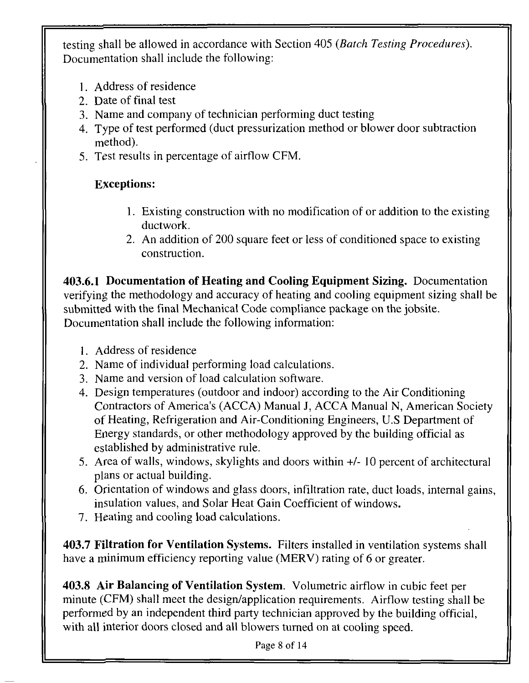testing shall be allowed in accordance with Section 405 (Batch Testing Procedures). Documentation shall include the following:

- 1. Address of residence
- 2. Date of final test
- 3. Name and company of technician performing duct testing
- 4. Type of test performed (duct pressurization method or blower door subtraction method).
- 5. Test results in percentage of airflow CFM.

# Exceptions:

- 1. Existing construction with no modification of or addition to the existing ductwork.
- 2. An addition of 200 square feet or less of conditioned space to existing construction.

403.6.1 Documentation of Heating and Cooling Equipment Sizing. Documentation verifying the methodology and accuracy of heating and cooling equipment sizing shall be submitted with the final Mechanical Code compliance package on the jobsite. Documentation shall include the following information:

- 1. Address of residence
- 2. Name of individual performing load calculations.
- 3. Name and version of load calculation software.
- 4. Design temperatures (outdoor and indoor) according to the Air Conditioning Contractors of America's (ACCA) Manual J, ACCA Manual N, American Society of Heating, Refrigeration and Air-Conditioning Engineers, U.S Department of Energy standards, or other methodology approved by the building official as established by administrative rule.
- 5. Area of walls, windows, skylights and doors within +/- 10 percent of architectural plans or actual building.
- 6. Orientation of windows and glass doors, infiltration rate, duct loads, internal gains, insulation values, and Solar Heat Gain Coefficient of windows.
- 7. Heating and cooling load calculations.

403.7 Filtration for Ventilation Systems. Filters installed in ventilation systems shall have a minimum efficiency reporting value (MERV) rating of 6 or greater.

403.8 Air Balancing of Ventilation System. Volumetric airflow in cubic feet per minute (CFM) shall meet the design/application requirements. Airflow testing shall be performed by an independent third party technician approved by the building official, with all interior doors closed and all blowers turned on at cooling speed.

Page 8 of 14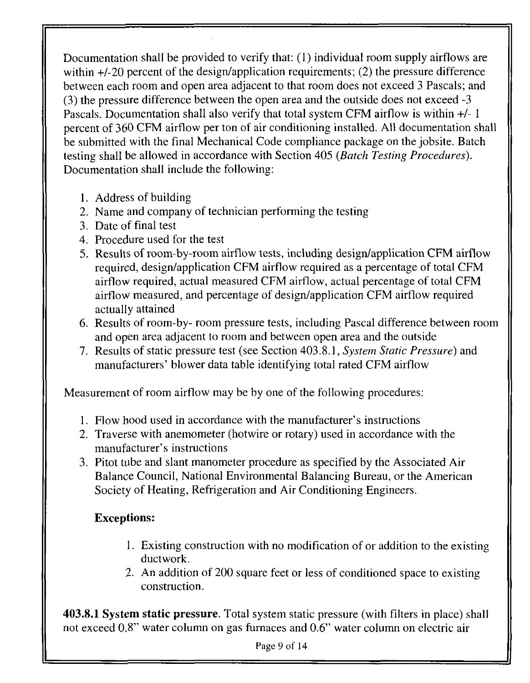Documentation shall be provided to verify that: (1) individual room supply airflows are within  $+/-20$  percent of the design/application requirements; (2) the pressure difference between each room and open area adjacent to that room does not exceed 3 Pascals; and (3) the pressure difference between the open area and the outside does not exceed -3 Pascals. Documentation shall also verify that total system CFM airflow is within +/- 1 percent of 360 CFM airflow per ton of air conditioning installed. All documentation shall be submitted with the final Mechanical Code compliance package on the jobsite. Batch testing shall be allowed in accordance with Section 405 (Batch Testing Procedures). Documentation shall include the following:

- 1. Address of building
- 2. Name and company of technician performing the testing
- 3. Date of final test
- 4. Procedure used for the test
- 5. Results of room-by-room airflow tests, including design/application CFM airflow required, design/application CFM airflow required as a percentage of total CFM airflow required, actual measured CFM airflow, actual percentage of total CFM airflow measured, and percentage of design/application CFM airflow required actually attained
- 6. Results of room-by- room pressure tests, including Pascal difference between room and open area adjacent to room and between open area and the outside
- 7. Results of static pressure test (see Section 403.8.1, System Static Pressure) and manufacturers' blower data table identifying total rated CFM airflow

Measurement of room airflow may be by one of the following procedures:

- 1. Flow hood used in accordance with the manufacturer's instructions
- 2. Traverse with anemometer (hotwire or rotary) used in accordance with the manufacturer's instructions
- 3. Pitot tube and slant manometer procedure as specified by the Associated Air Balance Council, National Environmental Balancing Bureau, or the American Society of Heating, Refrigeration and Air Conditioning Engineers.

# Exceptions:

- 1. Existing construction with no modification of or addition to the existing ductwork.
- 2. An addition of 200 square feet or less of conditioned space to existing construction.

403.8.1 System static pressure. Total system static pressure (with filters in place) shall not exceed 0.8" water column on gas furnaces and 0.6" water column on electric air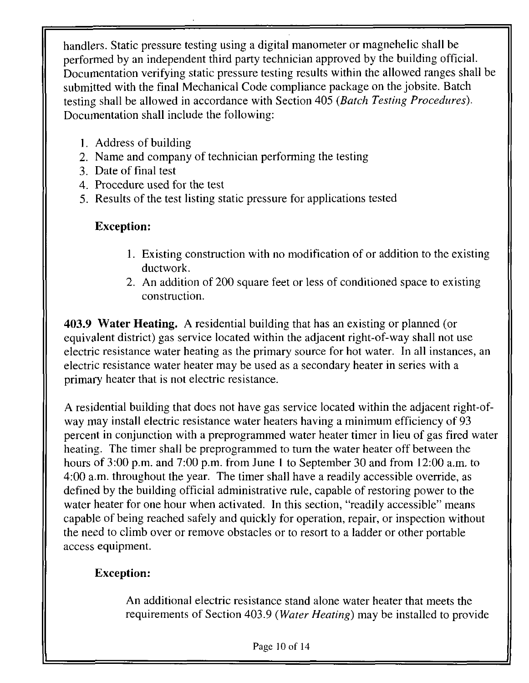handlers. Static pressure testing using a digital manometer or magnehelic shall be performed by an independent third party technician approved by the building official. Documentation verifying static pressure testing results within the allowed ranges shall be submitted with the final Mechanical Code compliance package on the jobsite. Batch testing shall be allowed in accordance with Section 405 (*Batch Testing Procedures*). Documentation shall include the following:

- 1. Address of building
- 2. Name and company of technician performing the testing
- 3. Date of final test
- 4. Procedure used for the test
- 5. Results of the test listing static pressure for applications tested

## Exception:

- 1. Existing construction with no modification of or addition to the existing ductwork.
- 2. An addition of 200 square feet or less of conditioned space to existing construction.

403.9 Water Heating. A residential building that has an existing or planned (or equivalent district) gas service located within the adjacent right-of-way shall not use electric resistance water heating as the primary source for hot water. In all instances, an electric resistance water heater may be used as a secondary heater in series with a primary heater that is not electric resistance.

A residential building that does not have gas service located within the adjacent right-ofway may install electric resistance water heaters having a minimum efficiency of 93 percent in conjunction with a preprogrammed water heater timer in lieu of gas fired water heating. The timer shall be preprogrammed to turn the water heater off between the hours of 3:00 p.m. and 7:00 p.m. from June 1 to September 30 and from 12:00 a.m. to 4:00 a.m. throughout the year. The timer shall have a readily accessible override, as defined by the building official administrative rule, capable of restoring power to the water heater for one hour when activated. In this section, "readily accessible" means capable of being reached safely and quickly for operation, repair, or inspection without the need to climb over or remove obstacles or to resort to a ladder or other portable access equipment.

## Exception:

An additional electric resistance stand alone water heater that meets the requirements of Section 403.9 (Water Heating) may be installed to provide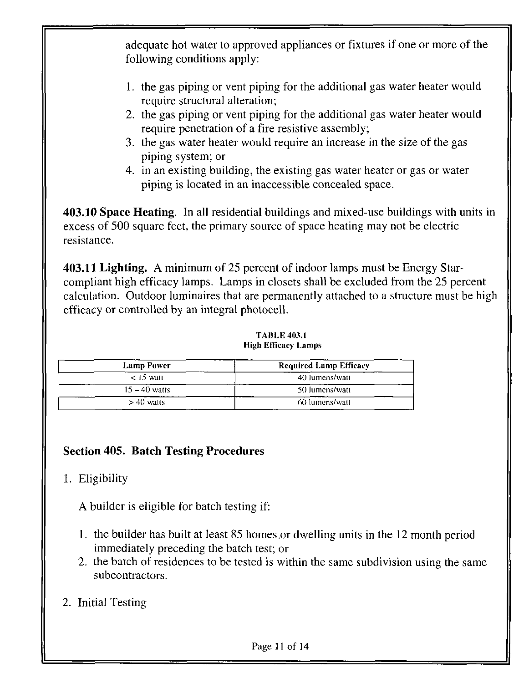adequate hot water to approved appliances or fixtures if one or more of the following conditions apply:

- 1. the gas piping or vent piping for the additional gas water heater would require structural alteration;
- 2. the gas piping or vent piping for the additional gas water heater would require penetration of a fire resistive assembly;
- 3. the gas water heater would require an increase in the size of the gas piping system; or
- 4. in an existing building, the existing gas water heater or gas or water piping is located in an inaccessible concealed space.

403.10 Space Heating. In all residential buildings and mixed-use buildings with units in excess of 500 square feet, the primary source of space heating may not be electric resistance.

403.11 Lighting. A minimum of 25 percent of indoor lamps must be Energy Starcompliant high efficacy lamps. Lamps in closets shall be excluded from the 25 percent calculation. Outdoor luminaires that are permanently attached to a structure must be high efficacy or controlled by an integral photocell.

| $- - -$           |                               |  |  |  |  |
|-------------------|-------------------------------|--|--|--|--|
| <b>Lamp Power</b> | <b>Required Lamp Efficacy</b> |  |  |  |  |
| $\leq$ 15 watt    | 40 lumens/watt                |  |  |  |  |
| $15 - 40$ watts   | 50 Jumens/watt                |  |  |  |  |
| $>40$ watts       | 60 lumens/watt                |  |  |  |  |

#### TABLE 403.1 High Efficacy Lamps

## Section 405. Batch Testing Procedures

1. Eligibility

A builder is eligible for batch testing if:

- 1. the builder has built at least 85 homes,or dwelling units in the 12 month period immediately preceding the batch test; or
- 2. the batch of residences to be tested is within the same subdivision using the same subcontractors.
- 2. Initial Testing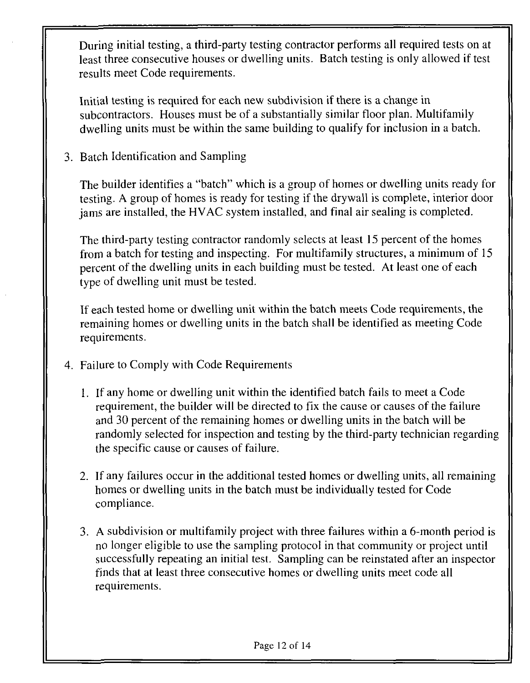During initial testing, a third-party testing contractor performs all required tests on at least three consecutive houses or dwelling units. Batch testing is only allowed if test results meet Code requirements.

Initial testing is required for each new subdivision if there is a change in subcontractors. Houses must be of a substantially similar floor plan. Multifamily dwelling units must be within the same building to qualify for inclusion in a batch.

3. Batch Identification and Sampling

The builder identifies a "batch" which is a group of homes or dwelling units ready for testing. A group of homes is ready for testing if the drywall is complete, interior door jams are installed, the HVAC system installed, and final air sealing is completed.

The third-party testing contractor randomly selects at least 15 percent of the homes from a batch for testing and inspecting. For multifamily structures, a minimum of 15 percent of the dwelling units in each building must be tested. At least one of each type of dwelling unit must be tested.

If each tested home or dwelling unit within the batch meets Code requirements, the remaining homes or dwelling units in the batch shall be identified as meeting Code requirements.

- 4. Failure to Comply with Code Requirements
	- 1. If any home or dwelling unit within the identified batch fails to meet a Code requirement, the builder will be directed to fix the cause or causes of the failure and 30 percent of the remaining homes or dwelling units in the batch will be randomly selected for inspection and testing by the third-party technician regarding the specific cause or causes of failure.
	- 2. If any failures occur in the additional tested homes or dwelling units, all remaining homes or dwelling units in the batch must be individually tested for Code compliance.
	- 3. A subdivision or multifamily project with three failures within a 6-month period is no longer eligible to use the sampling protocol in that community or project until successfully repeating an initial test. Sampling can be reinstated after an inspector finds that at least three consecutive homes or dwelling units meet code all requirements.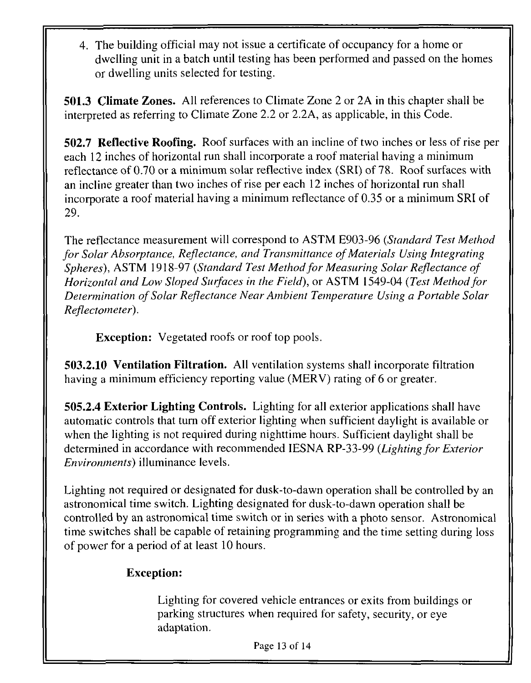4. The building official may not issue a certificate of occupancy for a home or dwelling unit in a batch until testing has been performed and passed on the homes or dwelling units selected for testing.

501.3 Climate Zones. All references to Climate Zone 2 or 2A in this chapter shall be interpreted as referring to Climate Zone 2.2 or 2.2A, as applicable, in this Code.

502.7 Reflective Roofing. Roof surfaces with an incline of two inches or less of rise per each 12 inches of horizontal run shall incorporate a roof material having a minimum reflectance of 0.70 or a minimum solar reflective index (SRI) of 78. Roof surfaces with an incline greater than two inches of rise per each 12 inches of horizontal run shall incorporate a roof material having a minimum reflectance of 0.35 or a minimum SRI of 29.

The reflectance measurement will correspond to ASTM E903-96 (Standard Test Method for Solar Absorptance, Reflectance, and Transmittance of Materials Using Integrating Spheres), ASTM 1918-97 (Standard Test Method for Measuring Solar Reflectance of Horizontal and Low Sloped Surfaces in the Field), or ASTM 1549-04 (Test Method for Determination of Solar Reflectance Near Ambient Temperature Using a Portable Solar Reflectometer).

Exception: Vegetated roofs or roof top pools.

503.2.10 Ventilation Filtration. All ventilation systems shall incorporate filtration having a minimum efficiency reporting value (MERV) rating of 6 or greater.

505.2.4 Exterior Lighting Controls. Lighting for all exterior applications shall have automatic controls that turn off exterior lighting when sufficient daylight is available or when the lighting is not required during nighttime hours. Sufficient daylight shall be determined in accordance with recommended IESNA RP-33-99 (Lighting for Exterior Environments) illuminance levels.

Lighting not required or designated for dusk-to-dawn operation shall be controlled by an astronomical time switch. Lighting designated for dusk-to-dawn operation shall be controlled by an astronomical time switch or in series with a photo sensor. Astronomical time switches shall be capable of retaining programming and the time setting during loss of power for a period of at least 10 hours.

## Exception:

Lighting for covered vehicle entrances or exits from buildings or parking structures when required for safety, security, or eye adaptation.

Page 13 of 14